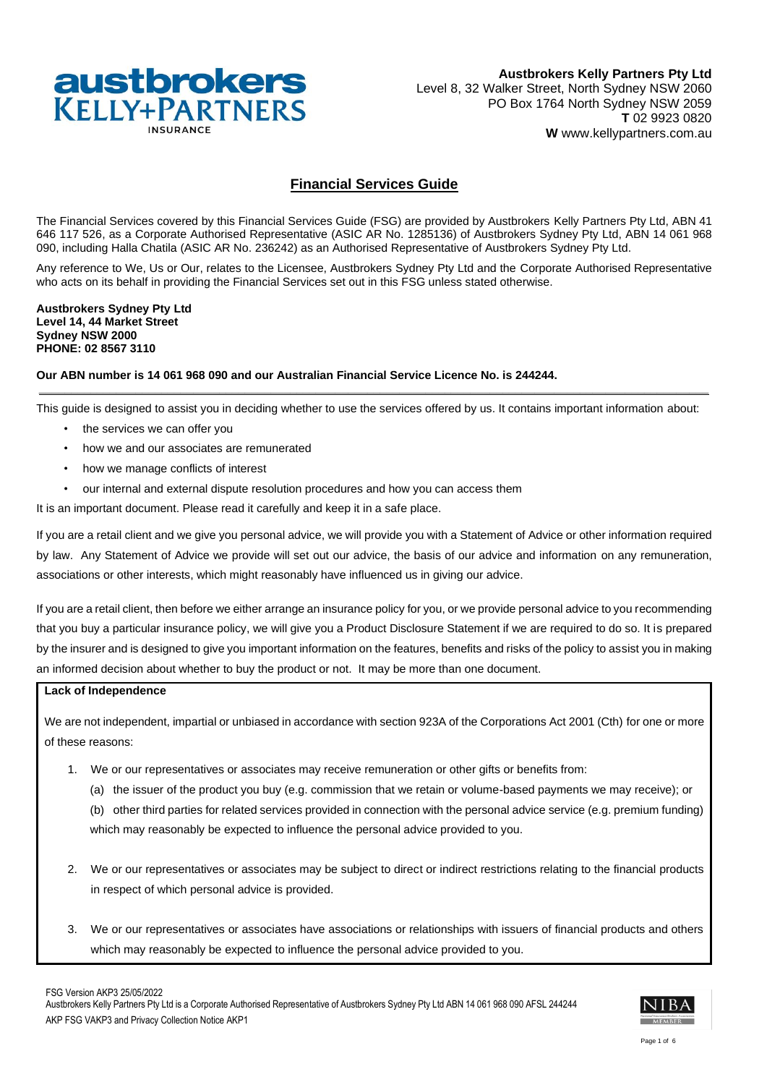

# **Financial Services Guide**

The Financial Services covered by this Financial Services Guide (FSG) are provided by Austbrokers Kelly Partners Pty Ltd, ABN 41 646 117 526, as a Corporate Authorised Representative (ASIC AR No. 1285136) of Austbrokers Sydney Pty Ltd, ABN 14 061 968 090, including Halla Chatila (ASIC AR No. 236242) as an Authorised Representative of Austbrokers Sydney Pty Ltd.

Any reference to We, Us or Our, relates to the Licensee, Austbrokers Sydney Pty Ltd and the Corporate Authorised Representative who acts on its behalf in providing the Financial Services set out in this FSG unless stated otherwise.

**Austbrokers Sydney Pty Ltd Level 14, 44 Market Street Sydney NSW 2000 PHONE: 02 8567 3110**

# **Our ABN number is 14 061 968 090 and our Australian Financial Service Licence No. is 244244.**

**\_\_\_\_\_\_\_\_\_\_\_\_\_\_\_\_\_\_\_\_\_\_\_\_\_\_\_\_\_\_\_\_\_\_\_\_\_\_\_\_\_\_\_\_\_\_\_\_\_\_\_\_\_\_\_\_\_\_\_\_\_\_\_\_\_\_\_\_\_\_\_\_\_\_\_\_\_\_\_\_\_\_\_\_\_\_\_\_\_\_\_\_\_\_\_\_\_\_\_\_\_\_\_\_** This guide is designed to assist you in deciding whether to use the services offered by us. It contains important information about:

- the services we can offer you
- how we and our associates are remunerated
- how we manage conflicts of interest
- our internal and external dispute resolution procedures and how you can access them

It is an important document. Please read it carefully and keep it in a safe place.

If you are a retail client and we give you personal advice, we will provide you with a Statement of Advice or other information required by law. Any Statement of Advice we provide will set out our advice, the basis of our advice and information on any remuneration, associations or other interests, which might reasonably have influenced us in giving our advice.

If you are a retail client, then before we either arrange an insurance policy for you, or we provide personal advice to you recommending that you buy a particular insurance policy, we will give you a Product Disclosure Statement if we are required to do so. It is prepared by the insurer and is designed to give you important information on the features, benefits and risks of the policy to assist you in making an informed decision about whether to buy the product or not. It may be more than one document.

### **Lack of Independence**

We are not independent, impartial or unbiased in accordance with section 923A of the Corporations Act 2001 (Cth) for one or more of these reasons:

- 1. We or our representatives or associates may receive remuneration or other gifts or benefits from:
	- (a) the issuer of the product you buy (e.g. commission that we retain or volume-based payments we may receive); or

(b) other third parties for related services provided in connection with the personal advice service (e.g. premium funding) which may reasonably be expected to influence the personal advice provided to you.

- 2. We or our representatives or associates may be subject to direct or indirect restrictions relating to the financial products in respect of which personal advice is provided.
- 3. We or our representatives or associates have associations or relationships with issuers of financial products and others which may reasonably be expected to influence the personal advice provided to you.

FSG Version AKP3 25/05/2022

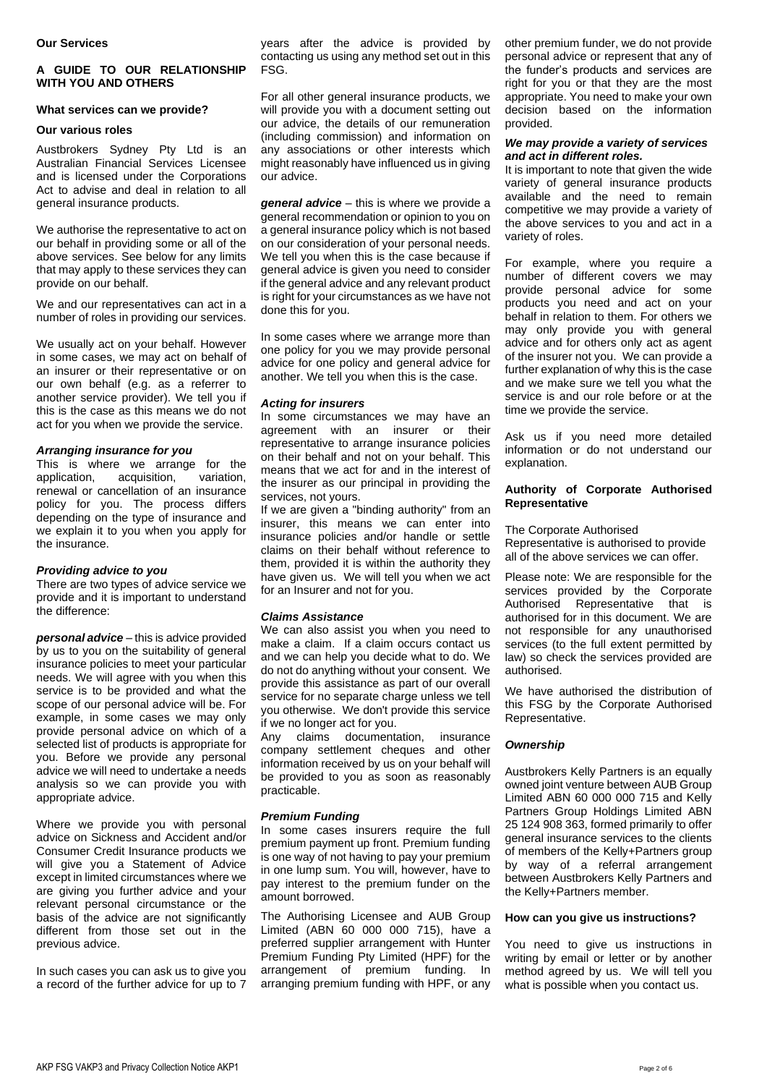### **A GUIDE TO OUR RELATIONSHIP WITH YOU AND OTHERS**

#### **What services can we provide?**

#### **Our various roles**

Austbrokers Sydney Pty Ltd is an Australian Financial Services Licensee and is licensed under the Corporations Act to advise and deal in relation to all general insurance products.

We authorise the representative to act on our behalf in providing some or all of the above services. See below for any limits that may apply to these services they can provide on our behalf.

We and our representatives can act in a number of roles in providing our services.

We usually act on your behalf. However in some cases, we may act on behalf of an insurer or their representative or on our own behalf (e.g. as a referrer to another service provider). We tell you if this is the case as this means we do not act for you when we provide the service.

#### *Arranging insurance for you*

This is where we arrange for the application, acquisition, variation, acquisition, renewal or cancellation of an insurance policy for you. The process differs depending on the type of insurance and we explain it to you when you apply for the insurance.

#### *Providing advice to you*

There are two types of advice service we provide and it is important to understand the difference:

*personal advice* – this is advice provided by us to you on the suitability of general insurance policies to meet your particular needs. We will agree with you when this service is to be provided and what the scope of our personal advice will be. For example, in some cases we may only provide personal advice on which of a selected list of products is appropriate for you. Before we provide any personal advice we will need to undertake a needs analysis so we can provide you with appropriate advice.

Where we provide you with personal advice on Sickness and Accident and/or Consumer Credit Insurance products we will give you a Statement of Advice except in limited circumstances where we are giving you further advice and your relevant personal circumstance or the basis of the advice are not significantly different from those set out in the previous advice.

In such cases you can ask us to give you a record of the further advice for up to 7 years after the advice is provided by contacting us using any method set out in this FSG.

For all other general insurance products, we will provide you with a document setting out our advice, the details of our remuneration (including commission) and information on any associations or other interests which might reasonably have influenced us in giving our advice.

*general advice* – this is where we provide a general recommendation or opinion to you on a general insurance policy which is not based on our consideration of your personal needs. We tell you when this is the case because if general advice is given you need to consider if the general advice and any relevant product is right for your circumstances as we have not done this for you.

In some cases where we arrange more than one policy for you we may provide personal advice for one policy and general advice for another. We tell you when this is the case.

### *Acting for insurers*

In some circumstances we may have an agreement with an insurer or their representative to arrange insurance policies on their behalf and not on your behalf. This means that we act for and in the interest of the insurer as our principal in providing the services, not yours.

If we are given a "binding authority" from an insurer, this means we can enter into insurance policies and/or handle or settle claims on their behalf without reference to them, provided it is within the authority they have given us. We will tell you when we act for an Insurer and not for you.

### *Claims Assistance*

We can also assist you when you need to make a claim. If a claim occurs contact us and we can help you decide what to do. We do not do anything without your consent. We provide this assistance as part of our overall service for no separate charge unless we tell you otherwise. We don't provide this service if we no longer act for you.

Any claims documentation, insurance company settlement cheques and other information received by us on your behalf will be provided to you as soon as reasonably practicable.

#### *Premium Funding*

In some cases insurers require the full premium payment up front. Premium funding is one way of not having to pay your premium in one lump sum. You will, however, have to pay interest to the premium funder on the amount borrowed.

The Authorising Licensee and AUB Group Limited (ABN 60 000 000 715), have a preferred supplier arrangement with Hunter Premium Funding Pty Limited (HPF) for the arrangement of premium funding. In arranging premium funding with HPF, or any

other premium funder, we do not provide personal advice or represent that any of the funder's products and services are right for you or that they are the most appropriate. You need to make your own decision based on the information provided.

#### *We may provide a variety of services and act in different roles.*

It is important to note that given the wide variety of general insurance products available and the need to remain competitive we may provide a variety of the above services to you and act in a variety of roles.

For example, where you require a number of different covers we may provide personal advice for some products you need and act on your behalf in relation to them. For others we may only provide you with general advice and for others only act as agent of the insurer not you. We can provide a further explanation of why this is the case and we make sure we tell you what the service is and our role before or at the time we provide the service.

Ask us if you need more detailed information or do not understand our explanation.

# **Authority of Corporate Authorised Representative**

The Corporate Authorised

Representative is authorised to provide all of the above services we can offer.

Please note: We are responsible for the services provided by the Corporate Authorised Representative that is authorised for in this document. We are not responsible for any unauthorised services (to the full extent permitted by law) so check the services provided are authorised.

We have authorised the distribution of this FSG by the Corporate Authorised Representative.

### *Ownership*

Austbrokers Kelly Partners is an equally owned joint venture between AUB Group Limited ABN 60 000 000 715 and Kelly Partners Group Holdings Limited ABN 25 124 908 363, formed primarily to offer general insurance services to the clients of members of the Kelly+Partners group by way of a referral arrangement between Austbrokers Kelly Partners and the Kelly+Partners member.

#### **How can you give us instructions?**

You need to give us instructions in writing by email or letter or by another method agreed by us. We will tell you what is possible when you contact us.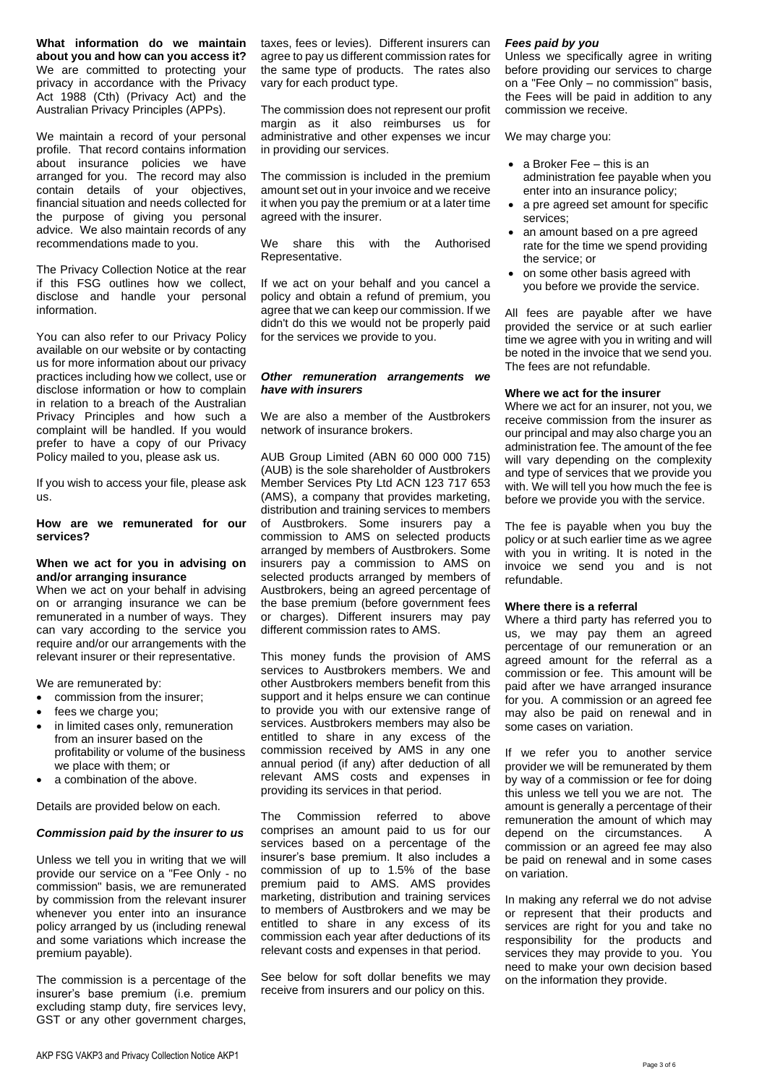**What information do we maintain about you and how can you access it?** We are committed to protecting your privacy in accordance with the Privacy Act 1988 (Cth) (Privacy Act) and the Australian Privacy Principles (APPs).

We maintain a record of your personal profile. That record contains information about insurance policies we have arranged for you. The record may also contain details of your objectives, financial situation and needs collected for the purpose of giving you personal advice. We also maintain records of any recommendations made to you.

The Privacy Collection Notice at the rear if this FSG outlines how we collect, disclose and handle your personal information.

You can also refer to our Privacy Policy available on our website or by contacting us for more information about our privacy practices including how we collect, use or disclose information or how to complain in relation to a breach of the Australian Privacy Principles and how such a complaint will be handled. If you would prefer to have a copy of our Privacy Policy mailed to you, please ask us.

If you wish to access your file, please ask us.

#### **How are we remunerated for our services?**

#### **When we act for you in advising on and/or arranging insurance**

When we act on your behalf in advising on or arranging insurance we can be remunerated in a number of ways. They can vary according to the service you require and/or our arrangements with the relevant insurer or their representative.

We are remunerated by:

- commission from the insurer;
- fees we charge you;
- in limited cases only, remuneration from an insurer based on the profitability or volume of the business we place with them; or
- a combination of the above.

Details are provided below on each.

#### *Commission paid by the insurer to us*

Unless we tell you in writing that we will provide our service on a "Fee Only - no commission" basis, we are remunerated by commission from the relevant insurer whenever you enter into an insurance policy arranged by us (including renewal and some variations which increase the premium payable).

The commission is a percentage of the insurer's base premium (i.e. premium excluding stamp duty, fire services levy, GST or any other government charges,

taxes, fees or levies). Different insurers can agree to pay us different commission rates for the same type of products. The rates also vary for each product type.

The commission does not represent our profit margin as it also reimburses us for administrative and other expenses we incur in providing our services.

The commission is included in the premium amount set out in your invoice and we receive it when you pay the premium or at a later time agreed with the insurer.

We share this with the Authorised Representative.

If we act on your behalf and you cancel a policy and obtain a refund of premium, you agree that we can keep our commission. If we didn't do this we would not be properly paid for the services we provide to you.

### *Other remuneration arrangements we have with insurers*

We are also a member of the Austbrokers network of insurance brokers.

AUB Group Limited (ABN 60 000 000 715) (AUB) is the sole shareholder of Austbrokers Member Services Pty Ltd ACN 123 717 653 (AMS), a company that provides marketing, distribution and training services to members of Austbrokers. Some insurers pay a commission to AMS on selected products arranged by members of Austbrokers. Some insurers pay a commission to AMS on selected products arranged by members of Austbrokers, being an agreed percentage of the base premium (before government fees or charges). Different insurers may pay different commission rates to AMS.

This money funds the provision of AMS services to Austbrokers members. We and other Austbrokers members benefit from this support and it helps ensure we can continue to provide you with our extensive range of services. Austbrokers members may also be entitled to share in any excess of the commission received by AMS in any one annual period (if any) after deduction of all relevant AMS costs and expenses in providing its services in that period.

The Commission referred to above comprises an amount paid to us for our services based on a percentage of the insurer's base premium. It also includes a commission of up to 1.5% of the base premium paid to AMS. AMS provides marketing, distribution and training services to members of Austbrokers and we may be entitled to share in any excess of its commission each year after deductions of its relevant costs and expenses in that period.

See below for soft dollar benefits we may receive from insurers and our policy on this.

#### *Fees paid by you*

Unless we specifically agree in writing before providing our services to charge on a "Fee Only – no commission" basis, the Fees will be paid in addition to any commission we receive.

We may charge you:

- a Broker Fee this is an administration fee payable when you enter into an insurance policy;
- a pre agreed set amount for specific services;
- an amount based on a pre agreed rate for the time we spend providing the service; or
- on some other basis agreed with you before we provide the service.

All fees are payable after we have provided the service or at such earlier time we agree with you in writing and will be noted in the invoice that we send you. The fees are not refundable.

### **Where we act for the insurer**

Where we act for an insurer, not you, we receive commission from the insurer as our principal and may also charge you an administration fee. The amount of the fee will vary depending on the complexity and type of services that we provide you with. We will tell you how much the fee is before we provide you with the service.

The fee is payable when you buy the policy or at such earlier time as we agree with you in writing. It is noted in the invoice we send you and is not refundable.

#### **Where there is a referral**

Where a third party has referred you to us, we may pay them an agreed percentage of our remuneration or an agreed amount for the referral as a commission or fee.This amount will be paid after we have arranged insurance for you. A commission or an agreed fee may also be paid on renewal and in some cases on variation.

If we refer you to another service provider we will be remunerated by them by way of a commission or fee for doing this unless we tell you we are not. The amount is generally a percentage of their remuneration the amount of which may depend on the circumstances. A commission or an agreed fee may also be paid on renewal and in some cases on variation.

In making any referral we do not advise or represent that their products and services are right for you and take no responsibility for the products and services they may provide to you. You need to make your own decision based on the information they provide.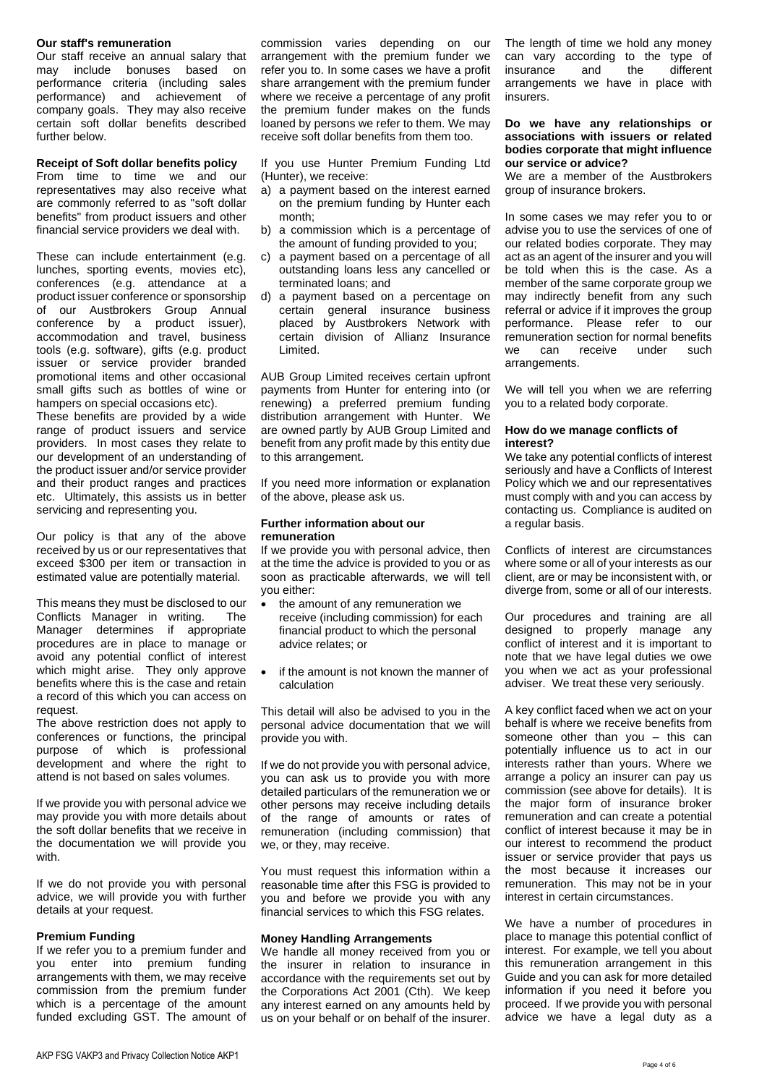#### **Our staff's remuneration**

Our staff receive an annual salary that may include bonuses based on performance criteria (including sales performance) and achievement of company goals. They may also receive certain soft dollar benefits described further below.

### **Receipt of Soft dollar benefits policy**

From time to time we and our representatives may also receive what are commonly referred to as "soft dollar benefits" from product issuers and other financial service providers we deal with.

These can include entertainment (e.g. lunches, sporting events, movies etc), conferences (e.g. attendance at a product issuer conference or sponsorship of our Austbrokers Group Annual conference by a product issuer), accommodation and travel, business tools (e.g. software), gifts (e.g. product issuer or service provider branded promotional items and other occasional small gifts such as bottles of wine or hampers on special occasions etc).

These benefits are provided by a wide range of product issuers and service providers. In most cases they relate to our development of an understanding of the product issuer and/or service provider and their product ranges and practices etc. Ultimately, this assists us in better servicing and representing you.

Our policy is that any of the above received by us or our representatives that exceed \$300 per item or transaction in estimated value are potentially material.

This means they must be disclosed to our Conflicts Manager in writing. The Manager determines if appropriate procedures are in place to manage or avoid any potential conflict of interest which might arise. They only approve benefits where this is the case and retain a record of this which you can access on request.

The above restriction does not apply to conferences or functions, the principal purpose of which is professional development and where the right to attend is not based on sales volumes.

If we provide you with personal advice we may provide you with more details about the soft dollar benefits that we receive in the documentation we will provide you with.

If we do not provide you with personal advice, we will provide you with further details at your request.

# **Premium Funding**

If we refer you to a premium funder and you enter into premium funding arrangements with them, we may receive commission from the premium funder which is a percentage of the amount funded excluding GST. The amount of

commission varies depending on our arrangement with the premium funder we refer you to. In some cases we have a profit share arrangement with the premium funder where we receive a percentage of any profit the premium funder makes on the funds loaned by persons we refer to them. We may receive soft dollar benefits from them too.

If you use Hunter Premium Funding Ltd (Hunter), we receive:

- a) a payment based on the interest earned on the premium funding by Hunter each month;
- b) a commission which is a percentage of the amount of funding provided to you;
- c) a payment based on a percentage of all outstanding loans less any cancelled or terminated loans; and
- d) a payment based on a percentage on certain general insurance business placed by Austbrokers Network with certain division of Allianz Insurance Limited.

AUB Group Limited receives certain upfront payments from Hunter for entering into (or renewing) a preferred premium funding distribution arrangement with Hunter. We are owned partly by AUB Group Limited and benefit from any profit made by this entity due to this arrangement.

If you need more information or explanation of the above, please ask us.

#### **Further information about our remuneration**

If we provide you with personal advice, then at the time the advice is provided to you or as soon as practicable afterwards, we will tell you either:

- the amount of any remuneration we receive (including commission) for each financial product to which the personal advice relates; or
- if the amount is not known the manner of calculation

This detail will also be advised to you in the personal advice documentation that we will provide you with.

If we do not provide you with personal advice, you can ask us to provide you with more detailed particulars of the remuneration we or other persons may receive including details of the range of amounts or rates of remuneration (including commission) that we, or they, may receive.

You must request this information within a reasonable time after this FSG is provided to you and before we provide you with any financial services to which this FSG relates.

### **Money Handling Arrangements**

We handle all money received from you or the insurer in relation to insurance in accordance with the requirements set out by the Corporations Act 2001 (Cth). We keep any interest earned on any amounts held by us on your behalf or on behalf of the insurer. The length of time we hold any money can vary according to the type of<br>insurance and the different insurance and the arrangements we have in place with insurers.

#### **Do we have any relationships or associations with issuers or related bodies corporate that might influence our service or advice?**

We are a member of the Austbrokers group of insurance brokers.

In some cases we may refer you to or advise you to use the services of one of our related bodies corporate. They may act as an agent of the insurer and you will be told when this is the case. As a member of the same corporate group we may indirectly benefit from any such referral or advice if it improves the group performance. Please refer to our remuneration section for normal benefits we can receive under such arrangements.

We will tell you when we are referring you to a related body corporate.

#### **How do we manage conflicts of interest?**

We take any potential conflicts of interest seriously and have a Conflicts of Interest Policy which we and our representatives must comply with and you can access by contacting us. Compliance is audited on a regular basis.

Conflicts of interest are circumstances where some or all of your interests as our client, are or may be inconsistent with, or diverge from, some or all of our interests.

Our procedures and training are all designed to properly manage any conflict of interest and it is important to note that we have legal duties we owe you when we act as your professional adviser. We treat these very seriously.

A key conflict faced when we act on your behalf is where we receive benefits from someone other than you – this can potentially influence us to act in our interests rather than yours. Where we arrange a policy an insurer can pay us commission (see above for details). It is the major form of insurance broker remuneration and can create a potential conflict of interest because it may be in our interest to recommend the product issuer or service provider that pays us the most because it increases our remuneration. This may not be in your interest in certain circumstances.

We have a number of procedures in place to manage this potential conflict of interest. For example, we tell you about this remuneration arrangement in this Guide and you can ask for more detailed information if you need it before you proceed. If we provide you with personal advice we have a legal duty as a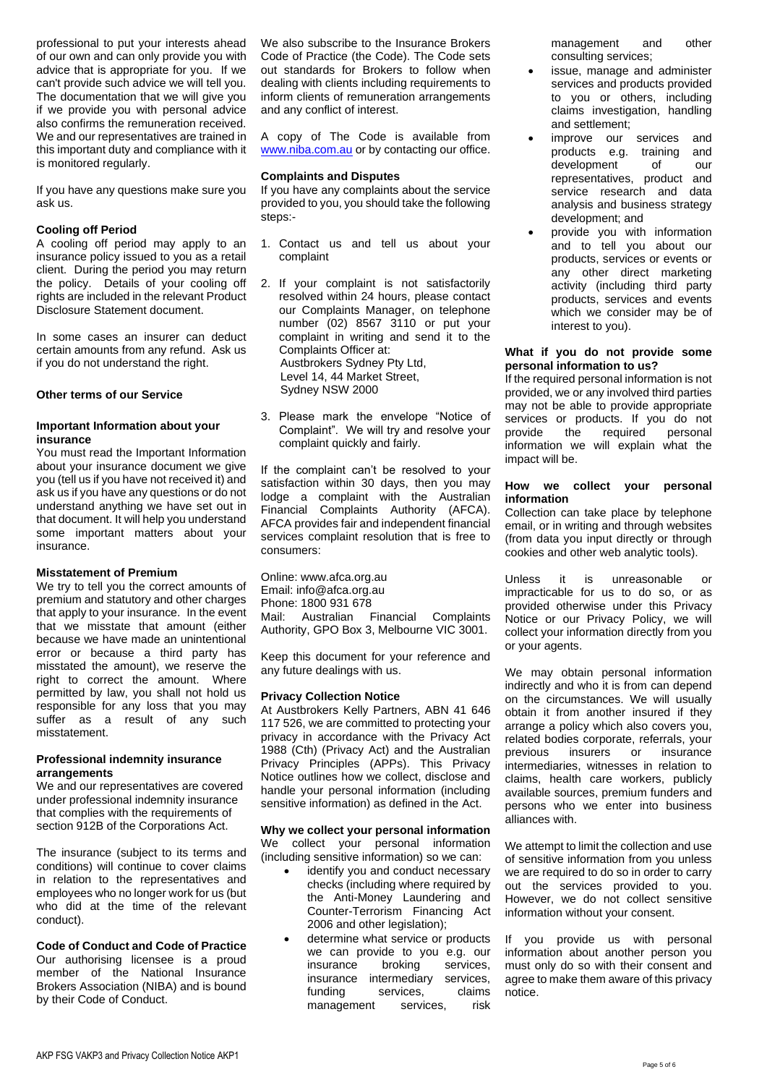professional to put your interests ahead of our own and can only provide you with advice that is appropriate for you. If we can't provide such advice we will tell you. The documentation that we will give you if we provide you with personal advice also confirms the remuneration received. We and our representatives are trained in this important duty and compliance with it is monitored regularly.

If you have any questions make sure you ask us.

# **Cooling off Period**

A cooling off period may apply to an insurance policy issued to you as a retail client. During the period you may return the policy. Details of your cooling off rights are included in the relevant Product Disclosure Statement document.

In some cases an insurer can deduct certain amounts from any refund. Ask us if you do not understand the right.

# **Other terms of our Service**

# **Important Information about your insurance**

You must read the Important Information about your insurance document we give you (tell us if you have not received it) and ask us if you have any questions or do not understand anything we have set out in that document. It will help you understand some important matters about your insurance.

# **Misstatement of Premium**

We try to tell you the correct amounts of premium and statutory and other charges that apply to your insurance. In the event that we misstate that amount (either because we have made an unintentional error or because a third party has misstated the amount), we reserve the right to correct the amount. Where permitted by law, you shall not hold us responsible for any loss that you may suffer as a result of any such misstatement.

### **Professional indemnity insurance arrangements**

We and our representatives are covered under professional indemnity insurance that complies with the requirements of section 912B of the Corporations Act.

The insurance (subject to its terms and conditions) will continue to cover claims in relation to the representatives and employees who no longer work for us (but who did at the time of the relevant conduct).

**Code of Conduct and Code of Practice** Our authorising licensee is a proud member of the National Insurance Brokers Association (NIBA) and is bound by their Code of Conduct.

We also subscribe to the Insurance Brokers Code of Practice (the Code). The Code sets out standards for Brokers to follow when dealing with clients including requirements to inform clients of remuneration arrangements and any conflict of interest.

A copy of The Code is available from [www.niba.com.au](http://www.niba.com.au/) or by contacting our office.

# **Complaints and Disputes**

If you have any complaints about the service provided to you, you should take the following steps:-

- 1. Contact us and tell us about your complaint
- 2. If your complaint is not satisfactorily resolved within 24 hours, please contact our Complaints Manager, on telephone number (02) 8567 3110 or put your complaint in writing and send it to the Complaints Officer at: Austbrokers Sydney Pty Ltd, Level 14, 44 Market Street, Sydney NSW 2000
- 3. Please mark the envelope "Notice of Complaint". We will try and resolve your complaint quickly and fairly.

If the complaint can't be resolved to your satisfaction within 30 days, then you may lodge a complaint with the Australian Financial Complaints Authority (AFCA). AFCA provides fair and independent financial services complaint resolution that is free to consumers:

Online: www.afca.org.au Email: info@afca.org.au Phone: 1800 931 678 Mail: Australian Financial Complaints Authority, GPO Box 3, Melbourne VIC 3001.

Keep this document for your reference and any future dealings with us.

### **Privacy Collection Notice**

At Austbrokers Kelly Partners, ABN 41 646 117 526, we are committed to protecting your privacy in accordance with the Privacy Act 1988 (Cth) (Privacy Act) and the Australian Privacy Principles (APPs). This Privacy Notice outlines how we collect, disclose and handle your personal information (including sensitive information) as defined in the Act.

### **Why we collect your personal information**

We collect your personal information (including sensitive information) so we can:

- identify you and conduct necessary checks (including where required by the Anti-Money Laundering and Counter-Terrorism Financing Act 2006 and other legislation);
- determine what service or products we can provide to you e.g. our insurance broking services, insurance intermediary services,<br>funding services, claims funding services, management services, risk

management and other consulting services;

- issue, manage and administer services and products provided to you or others, including claims investigation, handling and settlement;
- improve our services and<br>products e.g. training and products e.g. training development of our representatives, product and service research and data analysis and business strategy development; and
- provide you with information and to tell you about our products, services or events or any other direct marketing activity (including third party products, services and events which we consider may be of interest to you).

### **What if you do not provide some personal information to us?**

If the required personal information is not provided, we or any involved third parties may not be able to provide appropriate services or products. If you do not provide the required personal information we will explain what the impact will be.

# **How we collect your personal information**

Collection can take place by telephone email, or in writing and through websites (from data you input directly or through cookies and other web analytic tools).

Unless it is unreasonable or impracticable for us to do so, or as provided otherwise under this Privacy Notice or our Privacy Policy, we will collect your information directly from you or your agents.

We may obtain personal information indirectly and who it is from can depend on the circumstances. We will usually obtain it from another insured if they arrange a policy which also covers you, related bodies corporate, referrals, your previous insurers or insurance intermediaries, witnesses in relation to claims, health care workers, publicly available sources, premium funders and persons who we enter into business alliances with.

We attempt to limit the collection and use of sensitive information from you unless we are required to do so in order to carry out the services provided to you. However, we do not collect sensitive information without your consent.

If you provide us with personal information about another person you must only do so with their consent and agree to make them aware of this privacy notice.